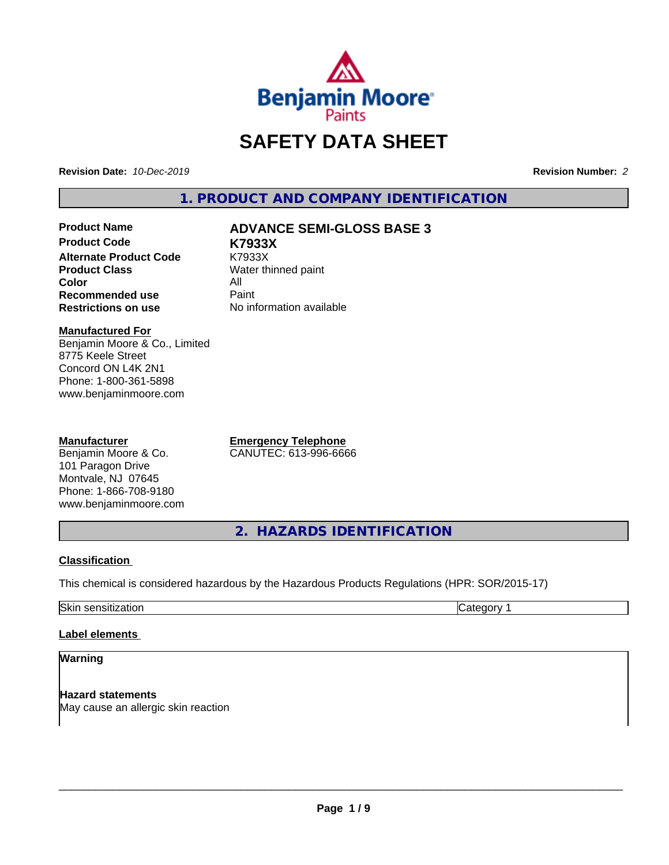

# **SAFETY DATA SHEET**

**Revision Date:** *10-Dec-2019* **Revision Number:** *2*

**1. PRODUCT AND COMPANY IDENTIFICATION**

**Product Code K7933X Alternate Product Code** K7933X<br> **Product Class** Water th **Color** All<br> **Recommended use** Paint **Recommended use<br>Restrictions on use** 

# **Product Name ADVANCE SEMI-GLOSS BASE 3**

**Water thinned paint No information available** 

#### **Manufactured For**

Benjamin Moore & Co., Limited 8775 Keele Street Concord ON L4K 2N1 Phone: 1-800-361-5898 www.benjaminmoore.com

#### **Manufacturer**

Benjamin Moore & Co. 101 Paragon Drive Montvale, NJ 07645 Phone: 1-866-708-9180 www.benjaminmoore.com **Emergency Telephone** CANUTEC: 613-996-6666

**2. HAZARDS IDENTIFICATION**

#### **Classification**

This chemical is considered hazardous by the Hazardous Products Regulations (HPR: SOR/2015-17)

Skin sensitization **Category 1 Category 1** 

### **Label elements**

#### **Warning**

**Hazard statements** May cause an allergic skin reaction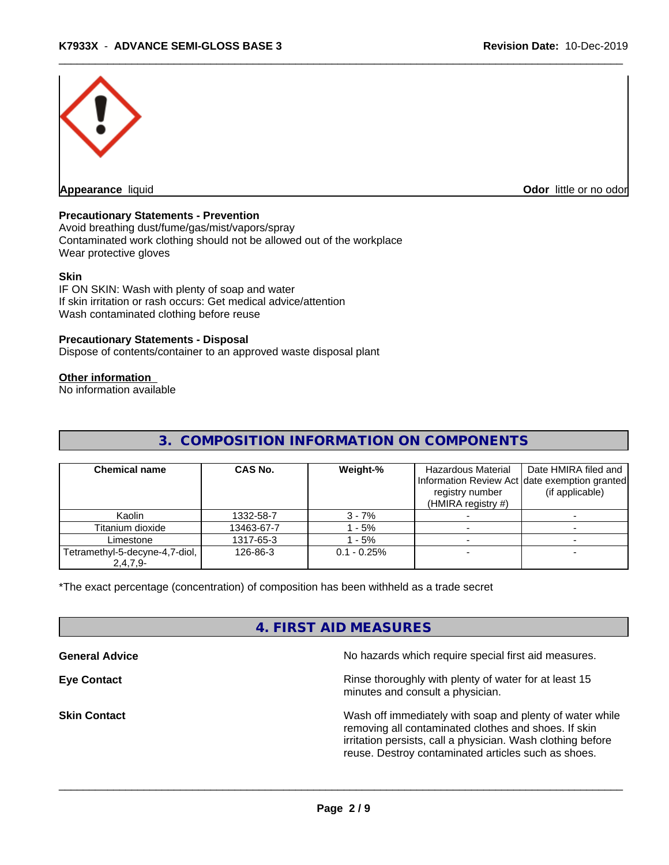

#### **Precautionary Statements - Prevention**

Avoid breathing dust/fume/gas/mist/vapors/spray Contaminated work clothing should not be allowed out of the workplace Wear protective gloves

#### **Skin**

IF ON SKIN: Wash with plenty of soap and water If skin irritation or rash occurs: Get medical advice/attention Wash contaminated clothing before reuse

#### **Precautionary Statements - Disposal**

Dispose of contents/container to an approved waste disposal plant

#### **Other information**

No information available

# **3. COMPOSITION INFORMATION ON COMPONENTS**

| <b>Chemical name</b>                         | CAS No.    | Weight-%      | Hazardous Material<br>registry number<br>(HMIRA registry $#$ ) | Date HMIRA filed and<br>Information Review Act date exemption granted<br>(if applicable) |
|----------------------------------------------|------------|---------------|----------------------------------------------------------------|------------------------------------------------------------------------------------------|
| Kaolin                                       | 1332-58-7  | $3 - 7%$      |                                                                |                                                                                          |
| Titanium dioxide                             | 13463-67-7 | $-5%$         |                                                                |                                                                                          |
| Limestone                                    | 1317-65-3  | - 5%          |                                                                |                                                                                          |
| Tetramethyl-5-decyne-4,7-diol,<br>$2,4,7,9-$ | 126-86-3   | $0.1 - 0.25%$ |                                                                |                                                                                          |

\*The exact percentage (concentration) of composition has been withheld as a trade secret

# **4. FIRST AID MEASURES**

**General Advice** No hazards which require special first aid measures. **Eye Contact Exercise 2.1 All 2.5 All 2.5 All 2.6 All 2.6 All 2.6 All 2.6 All 2.6 All 2.6 All 2.6 All 2.6 All 2.6 All 2.6 All 2.6 All 2.6 All 2.6 All 2.6 All 2.6 All 2.6 All 2.6 All 2.6 All 2.6 All 2.6 All 2.6 All 2.6 Al** minutes and consult a physician. **Skin Contact** Mash of immediately with soap and plenty of water while removing all contaminated clothes and shoes. If skin irritation persists, call a physician. Wash clothing before reuse. Destroy contaminated articles such as shoes.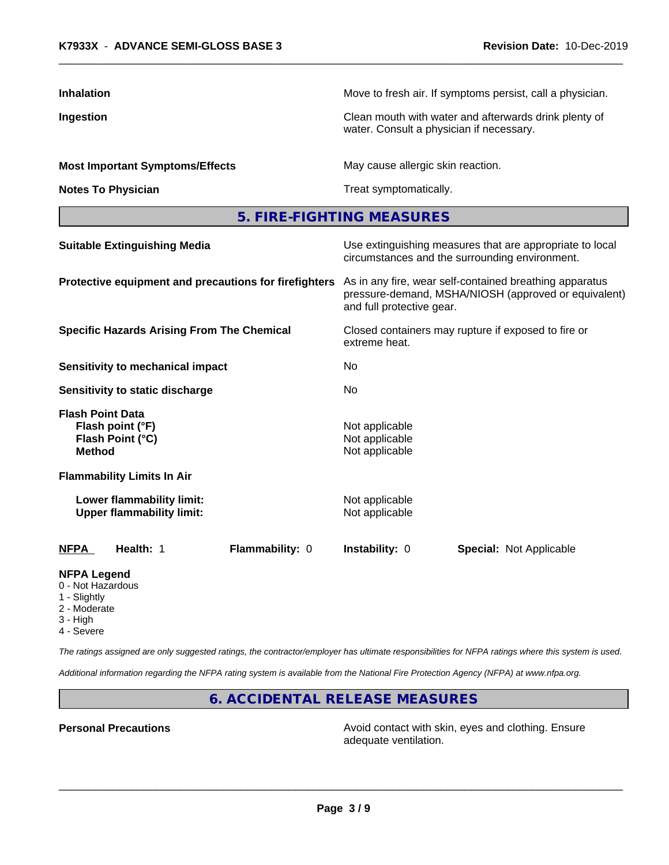| <b>Inhalation</b>                                                         | Move to fresh air. If symptoms persist, call a physician.                                                                                    |  |  |
|---------------------------------------------------------------------------|----------------------------------------------------------------------------------------------------------------------------------------------|--|--|
| Ingestion                                                                 | Clean mouth with water and afterwards drink plenty of<br>water. Consult a physician if necessary.                                            |  |  |
| <b>Most Important Symptoms/Effects</b>                                    | May cause allergic skin reaction.                                                                                                            |  |  |
| <b>Notes To Physician</b>                                                 | Treat symptomatically.                                                                                                                       |  |  |
|                                                                           | 5. FIRE-FIGHTING MEASURES                                                                                                                    |  |  |
| <b>Suitable Extinguishing Media</b>                                       | Use extinguishing measures that are appropriate to local<br>circumstances and the surrounding environment.                                   |  |  |
| Protective equipment and precautions for firefighters                     | As in any fire, wear self-contained breathing apparatus<br>pressure-demand, MSHA/NIOSH (approved or equivalent)<br>and full protective gear. |  |  |
| <b>Specific Hazards Arising From The Chemical</b>                         | Closed containers may rupture if exposed to fire or<br>extreme heat.                                                                         |  |  |
| <b>Sensitivity to mechanical impact</b>                                   | No                                                                                                                                           |  |  |
| <b>Sensitivity to static discharge</b>                                    | No.                                                                                                                                          |  |  |
| Flash Point Data<br>Flash point (°F)<br>Flash Point (°C)<br><b>Method</b> | Not applicable<br>Not applicable<br>Not applicable                                                                                           |  |  |
| <b>Flammability Limits In Air</b>                                         |                                                                                                                                              |  |  |
| Lower flammability limit:<br><b>Upper flammability limit:</b>             | Not applicable<br>Not applicable                                                                                                             |  |  |
| Flammability: 0<br>NFPA<br><b>Health: 1</b>                               | Instability: 0<br><b>Special: Not Applicable</b>                                                                                             |  |  |
| <b>NFPA Legend</b><br>0 - Not Hazardous<br>1 - Slightly<br>2 - Moderate   |                                                                                                                                              |  |  |

3 - High

4 - Severe

*The ratings assigned are only suggested ratings, the contractor/employer has ultimate responsibilities for NFPA ratings where this system is used.*

*Additional information regarding the NFPA rating system is available from the National Fire Protection Agency (NFPA) at www.nfpa.org.*

# **6. ACCIDENTAL RELEASE MEASURES**

**Personal Precautions Precautions** Avoid contact with skin, eyes and clothing. Ensure adequate ventilation.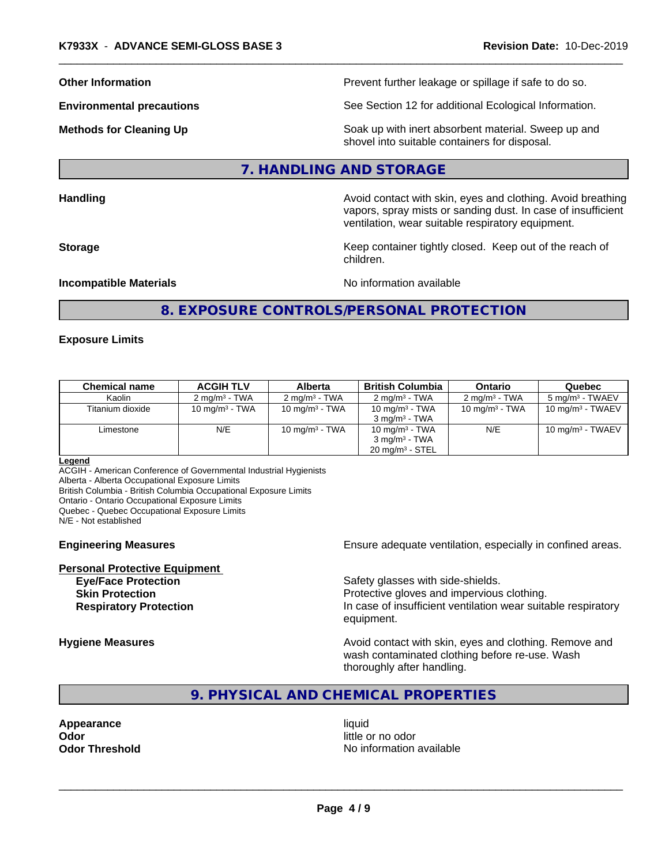**Other Information Discription Prevent further leakage or spillage if safe to do so.** 

**Environmental precautions** See Section 12 for additional Ecological Information.

**Methods for Cleaning Up Example 20 Soak** up with inert absorbent material. Sweep up and shovel into suitable containers for disposal.

#### **7. HANDLING AND STORAGE**

**Handling Handling Avoid contact with skin, eyes and clothing. Avoid breathing** 

vapors, spray mists or sanding dust. In case of insufficient ventilation, wear suitable respiratory equipment. **Storage Keep container tightly closed. Keep out of the reach of Keep** container tightly closed. Keep out of the reach of

**Incompatible Materials** Noinformation available

# **8. EXPOSURE CONTROLS/PERSONAL PROTECTION**

children.

#### **Exposure Limits**

| Chemical name    | <b>ACGIH TLV</b>         | <b>Alberta</b>            | <b>British Columbia</b>                                                     | Ontario                  | Quebec                     |
|------------------|--------------------------|---------------------------|-----------------------------------------------------------------------------|--------------------------|----------------------------|
| Kaolin           | $2 \text{ ma/m}^3$ - TWA | 2 mg/m <sup>3</sup> - TWA | $2 \text{ ma/m}^3$ - TWA                                                    | $2 \text{ ma/m}^3$ - TWA | $5 \text{ ma/m}^3$ - TWAEV |
| Titanium dioxide | 10 mg/m $3$ - TWA        | 10 mg/m $3$ - TWA         | 10 mg/m $3$ - TWA<br>$3 \text{ ma/m}^3$ - TWA                               | 10 mg/m $3$ - TWA        | 10 mg/m $3$ - TWAEV        |
| Limestone        | N/E                      | 10 mg/m $3$ - TWA         | 10 mg/m $3$ - TWA<br>$3 \text{ ma/m}^3$ - TWA<br>$20 \text{ mg/m}^3$ - STEL | N/E                      | 10 mg/m $3$ - TWAEV        |

#### **Legend**

ACGIH - American Conference of Governmental Industrial Hygienists

Alberta - Alberta Occupational Exposure Limits

British Columbia - British Columbia Occupational Exposure Limits

Ontario - Ontario Occupational Exposure Limits

Quebec - Quebec Occupational Exposure Limits

N/E - Not established

**Personal Protective Equipment**

**Engineering Measures Ensure** Ensure adequate ventilation, especially in confined areas.

**Eye/Face Protection Safety glasses with side-shields. Skin Protection Protection Protective gloves and impervious clothing. Respiratory Protection In case of insufficient ventilation wear suitable respiratory** equipment.

**Hygiene Measures Avoid contact with skin, eyes and clothing. Remove and Avoid contact with skin, eyes and clothing. Remove and Avoid contact with skin, eyes and clothing. Remove and** wash contaminated clothing before re-use. Wash thoroughly after handling.

# **9. PHYSICAL AND CHEMICAL PROPERTIES**

**Appearance** liquid **Odor** little or no odor

**Odor Threshold** No information available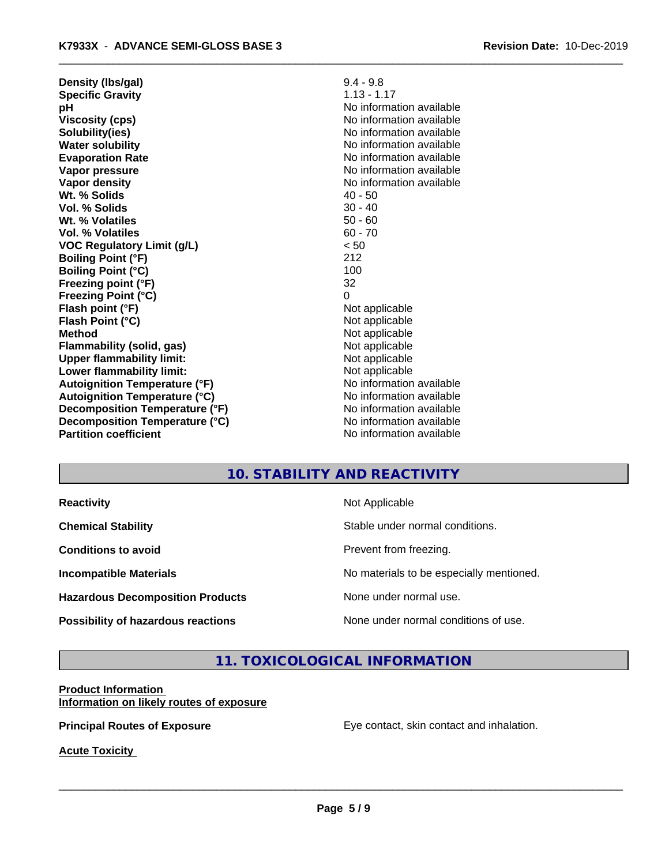| Density (Ibs/gal)                    | $9.4 - 9.8$              |
|--------------------------------------|--------------------------|
| <b>Specific Gravity</b>              | $1.13 - 1.17$            |
| рH                                   | No information available |
| <b>Viscosity (cps)</b>               | No information available |
| Solubility(ies)                      | No information available |
| <b>Water solubility</b>              | No information available |
| <b>Evaporation Rate</b>              | No information available |
| Vapor pressure                       | No information available |
| Vapor density                        | No information available |
| Wt. % Solids                         | $40 - 50$                |
| Vol. % Solids                        | $30 - 40$                |
| Wt. % Volatiles                      | $50 - 60$                |
| Vol. % Volatiles                     | $60 - 70$                |
| <b>VOC Regulatory Limit (g/L)</b>    | < 50                     |
| <b>Boiling Point (°F)</b>            | 212                      |
| <b>Boiling Point (°C)</b>            | 100                      |
| Freezing point (°F)                  | 32                       |
| <b>Freezing Point (°C)</b>           | 0                        |
| Flash point (°F)                     | Not applicable           |
| Flash Point (°C)                     | Not applicable           |
| <b>Method</b>                        | Not applicable           |
| Flammability (solid, gas)            | Not applicable           |
| <b>Upper flammability limit:</b>     | Not applicable           |
| Lower flammability limit:            | Not applicable           |
| <b>Autoignition Temperature (°F)</b> | No information available |
| <b>Autoignition Temperature (°C)</b> | No information available |
| Decomposition Temperature (°F)       | No information available |
| Decomposition Temperature (°C)       | No information available |
| <b>Partition coefficient</b>         | No information available |
|                                      |                          |

# **10. STABILITY AND REACTIVITY**

**Hazardous Decomposition Products** None under normal use.

**Reactivity Not Applicable** 

**Chemical Stability Chemical Stability** Stable under normal conditions.

**Conditions to avoid Conditions to avoid Prevent from freezing.** 

**Incompatible Materials No materials** No materials to be especially mentioned.

 $\overline{\phantom{a}}$  ,  $\overline{\phantom{a}}$  ,  $\overline{\phantom{a}}$  ,  $\overline{\phantom{a}}$  ,  $\overline{\phantom{a}}$  ,  $\overline{\phantom{a}}$  ,  $\overline{\phantom{a}}$  ,  $\overline{\phantom{a}}$  ,  $\overline{\phantom{a}}$  ,  $\overline{\phantom{a}}$  ,  $\overline{\phantom{a}}$  ,  $\overline{\phantom{a}}$  ,  $\overline{\phantom{a}}$  ,  $\overline{\phantom{a}}$  ,  $\overline{\phantom{a}}$  ,  $\overline{\phantom{a}}$ 

**Possibility of hazardous reactions** None under normal conditions of use.

# **11. TOXICOLOGICAL INFORMATION**

#### **Product Information Information on likely routes of exposure**

**Principal Routes of Exposure Exposure** Eye contact, skin contact and inhalation.

**Acute Toxicity**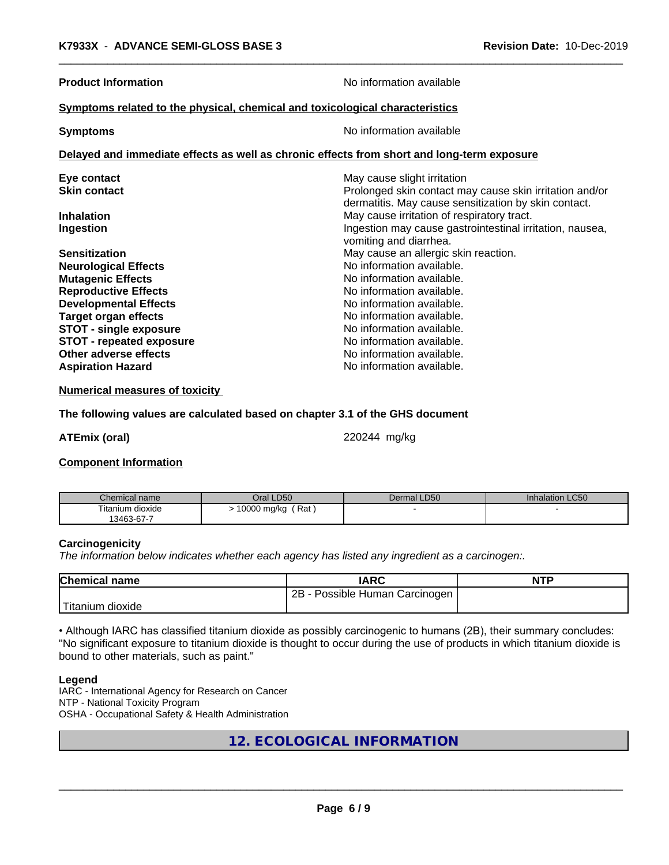| <b>Product Information</b>                                                                 | No information available                                                                                        |  |  |  |
|--------------------------------------------------------------------------------------------|-----------------------------------------------------------------------------------------------------------------|--|--|--|
| Symptoms related to the physical, chemical and toxicological characteristics               |                                                                                                                 |  |  |  |
| <b>Symptoms</b>                                                                            | No information available                                                                                        |  |  |  |
| Delayed and immediate effects as well as chronic effects from short and long-term exposure |                                                                                                                 |  |  |  |
| Eye contact                                                                                | May cause slight irritation                                                                                     |  |  |  |
| <b>Skin contact</b>                                                                        | Prolonged skin contact may cause skin irritation and/or<br>dermatitis. May cause sensitization by skin contact. |  |  |  |
| <b>Inhalation</b>                                                                          | May cause irritation of respiratory tract.                                                                      |  |  |  |
| Ingestion                                                                                  | Ingestion may cause gastrointestinal irritation, nausea,<br>vomiting and diarrhea.                              |  |  |  |
| <b>Sensitization</b>                                                                       | May cause an allergic skin reaction.                                                                            |  |  |  |
| <b>Neurological Effects</b>                                                                | No information available.                                                                                       |  |  |  |
| <b>Mutagenic Effects</b>                                                                   | No information available.                                                                                       |  |  |  |
| <b>Reproductive Effects</b>                                                                | No information available.                                                                                       |  |  |  |
| <b>Developmental Effects</b>                                                               | No information available.                                                                                       |  |  |  |
| <b>Target organ effects</b>                                                                | No information available.                                                                                       |  |  |  |
| <b>STOT - single exposure</b>                                                              | No information available.                                                                                       |  |  |  |
| <b>STOT - repeated exposure</b>                                                            | No information available.                                                                                       |  |  |  |
| Other adverse effects                                                                      | No information available.                                                                                       |  |  |  |
| <b>Aspiration Hazard</b>                                                                   | No information available.                                                                                       |  |  |  |

**Numerical measures of toxicity**

#### **The following values are calculated based on chapter 3.1 of the GHS document**

**ATEmix (oral)** 220244 mg/kg

#### **Component Information**

| Chemical name    | Oral LD50          | Dermal LD50 | <b>Inhalation LC50</b> |
|------------------|--------------------|-------------|------------------------|
| Titanium dioxide | 10000 mg/kg<br>Rat |             |                        |
| 13463-67-7       |                    |             |                        |

#### **Carcinogenicity**

*The information below indicateswhether each agency has listed any ingredient as a carcinogen:.*

| <b>Chemical name</b> | <b>IARC</b>                           | <b>NTP</b> |
|----------------------|---------------------------------------|------------|
|                      | 2B<br>Possible Human i<br>∟Carcinogen |            |
| 'Titanium<br>dioxide |                                       |            |

• Although IARC has classified titanium dioxide as possibly carcinogenic to humans (2B), their summary concludes: "No significant exposure to titanium dioxide is thought to occur during the use of products in which titanium dioxide is bound to other materials, such as paint."

#### **Legend**

IARC - International Agency for Research on Cancer NTP - National Toxicity Program OSHA - Occupational Safety & Health Administration

**12. ECOLOGICAL INFORMATION**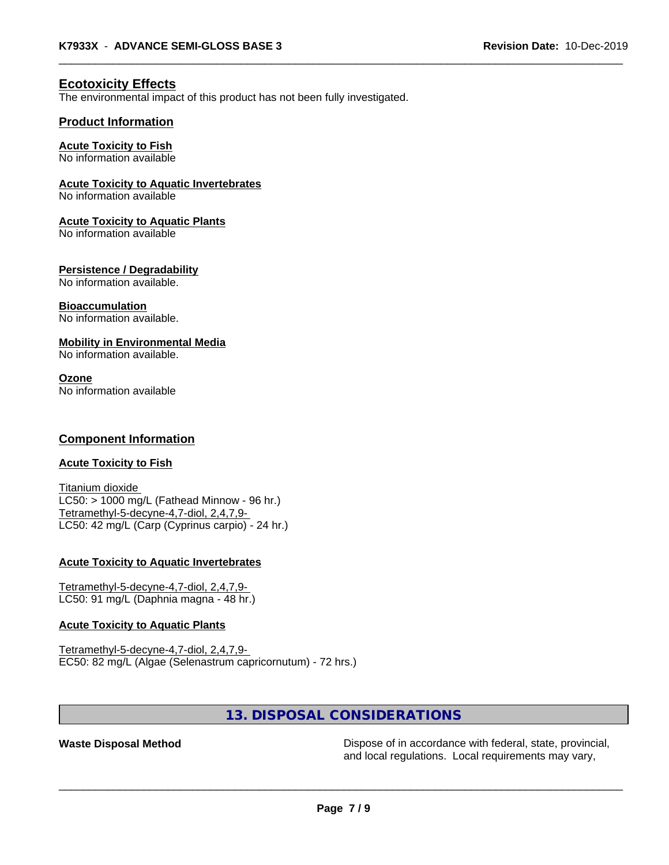### **Ecotoxicity Effects**

The environmental impact of this product has not been fully investigated.

#### **Product Information**

#### **Acute Toxicity to Fish**

No information available

#### **Acute Toxicity to Aquatic Invertebrates**

No information available

#### **Acute Toxicity to Aquatic Plants**

No information available

#### **Persistence / Degradability**

No information available.

#### **Bioaccumulation**

No information available.

#### **Mobility in Environmental Media**

No information available.

#### **Ozone**

No information available

#### **Component Information**

#### **Acute Toxicity to Fish**

Titanium dioxide  $LC50:$  > 1000 mg/L (Fathead Minnow - 96 hr.) Tetramethyl-5-decyne-4,7-diol, 2,4,7,9- LC50: 42 mg/L (Carp (Cyprinus carpio) - 24 hr.)

#### **Acute Toxicity to Aquatic Invertebrates**

Tetramethyl-5-decyne-4,7-diol, 2,4,7,9- LC50: 91 mg/L (Daphnia magna - 48 hr.)

#### **Acute Toxicity to Aquatic Plants**

Tetramethyl-5-decyne-4,7-diol, 2,4,7,9- EC50: 82 mg/L (Algae (Selenastrum capricornutum) - 72 hrs.)

## **13. DISPOSAL CONSIDERATIONS**

**Waste Disposal Method** Dispose of in accordance with federal, state, provincial, and local regulations. Local requirements may vary,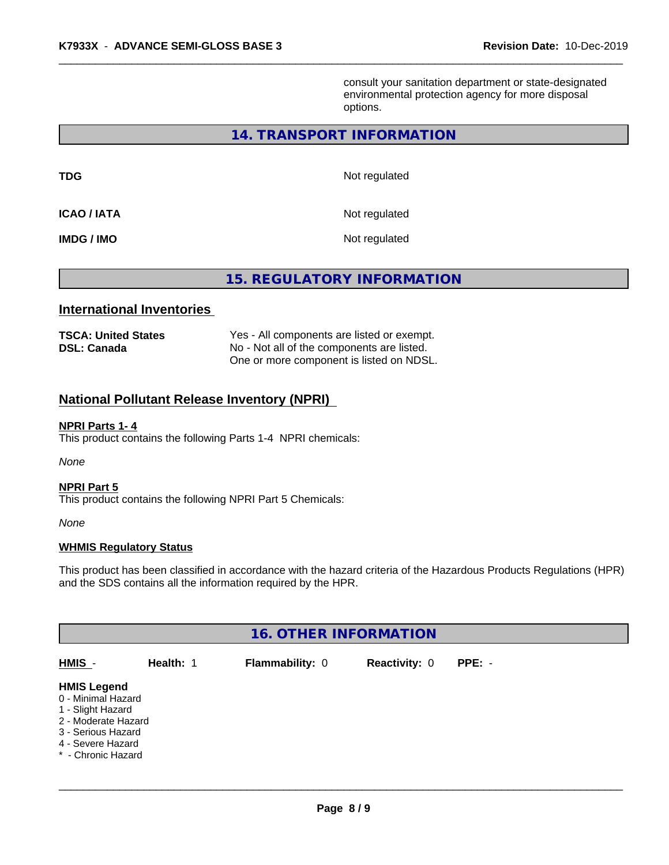consult your sanitation department or state-designated environmental protection agency for more disposal options.

# **14. TRANSPORT INFORMATION**

**TDG** Not regulated

**ICAO / IATA** Not regulated

**IMDG / IMO** Not regulated

**15. REGULATORY INFORMATION**

#### **International Inventories**

| <b>TSCA: United States</b> | Yes - All components are listed or exempt. |
|----------------------------|--------------------------------------------|
| <b>DSL: Canada</b>         | No - Not all of the components are listed. |
|                            | One or more component is listed on NDSL.   |

# **National Pollutant Release Inventory (NPRI)**

#### **NPRI Parts 1- 4**

This product contains the following Parts 1-4 NPRI chemicals:

*None*

#### **NPRI Part 5**

This product contains the following NPRI Part 5 Chemicals:

*None*

#### **WHMIS Regulatory Status**

This product has been classified in accordance with the hazard criteria of the Hazardous Products Regulations (HPR) and the SDS contains all the information required by the HPR.

| <b>16. OTHER INFORMATION</b>                                                                                                                          |           |                        |                      |          |  |
|-------------------------------------------------------------------------------------------------------------------------------------------------------|-----------|------------------------|----------------------|----------|--|
| HMIS -                                                                                                                                                | Health: 1 | <b>Flammability: 0</b> | <b>Reactivity: 0</b> | $PPE: -$ |  |
| <b>HMIS Legend</b><br>0 - Minimal Hazard<br>1 - Slight Hazard<br>2 - Moderate Hazard<br>3 - Serious Hazard<br>4 - Severe Hazard<br>* - Chronic Hazard |           |                        |                      |          |  |